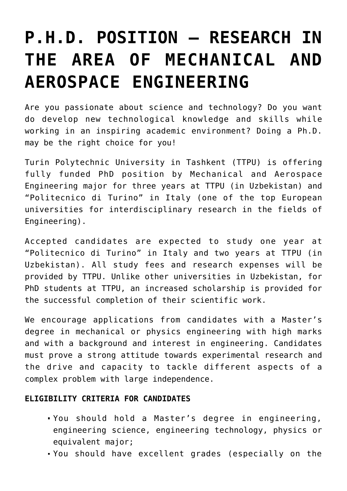## **[P.H.D. POSITION – RESEARCH IN](https://polito.uz/13223/) [THE AREA OF MECHANICAL AND](https://polito.uz/13223/) [AEROSPACE ENGINEERING](https://polito.uz/13223/)**

Are you passionate about science and technology? Do you want do develop new technological knowledge and skills while working in an inspiring academic environment? Doing a Ph.D. may be the right choice for you!

Turin Polytechnic University in Tashkent (TTPU) is offering fully funded PhD position by Mechanical and Aerospace Engineering major for three years at TTPU (in Uzbekistan) and "Politecnico di Turino" in Italy (one of the top European universities for interdisciplinary research in the fields of Engineering).

Accepted candidates are expected to study one year at "Politecnico di Turino" in Italy and two years at TTPU (in Uzbekistan). All study fees and research expenses will be provided by TTPU. Unlike other universities in Uzbekistan, for PhD students at TTPU, an increased scholarship is provided for the successful completion of their scientific work.

We encourage applications from candidates with a Master's degree in mechanical or physics engineering with high marks and with a background and interest in engineering. Candidates must prove a strong attitude towards experimental research and the drive and capacity to tackle different aspects of a complex problem with large independence.

## **ELIGIBILITY CRITERIA FOR CANDIDATES**

- You should hold a Master's degree in engineering, engineering science, engineering technology, physics or equivalent major;
- You should have excellent grades (especially on the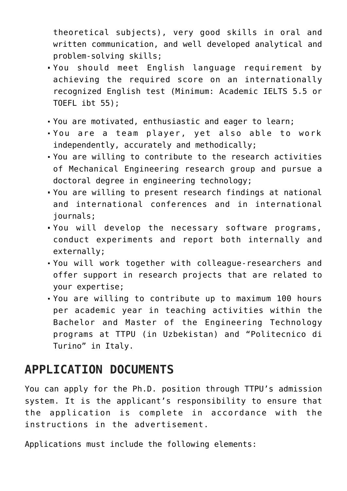theoretical subjects), very good skills in oral and written communication, and well developed analytical and problem-solving skills;

- You should meet English language requirement by achieving the required score on an internationally recognized English test (Minimum: Academic IELTS 5.5 or TOEFL ibt 55);
- You are motivated, enthusiastic and eager to learn;
- You are a team player, yet also able to work independently, accurately and methodically;
- You are willing to contribute to the research activities of Mechanical Engineering research group and pursue a doctoral degree in engineering technology;
- You are willing to present research findings at national and international conferences and in international journals;
- You will develop the necessary software programs, conduct experiments and report both internally and externally;
- You will work together with colleague-researchers and offer support in research projects that are related to your expertise;
- You are willing to contribute up to maximum 100 hours per academic year in teaching activities within the Bachelor and Master of the Engineering Technology programs at TTPU (in Uzbekistan) and "Politecnico di Turino" in Italy.

## **APPLICATION DOCUMENTS**

You can apply for the Ph.D. position through TTPU's admission system. It is the applicant's responsibility to ensure that the application is complete in accordance with the instructions in the advertisement.

Applications must include the following elements: